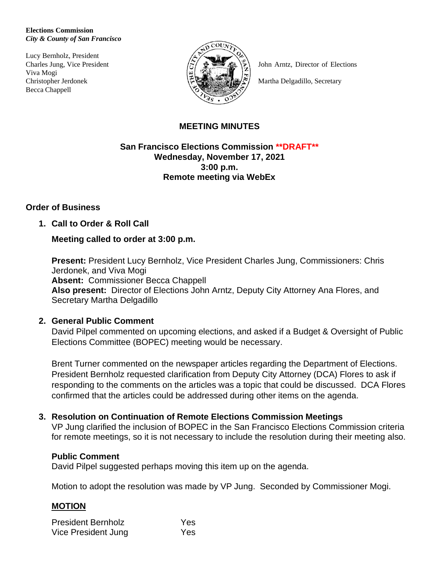#### **Elections Commission** *City & County of San Francisco*

Lucy Bernholz, President Viva Mogi Becca Chappell



Charles Jung, Vice President  $\left(\frac{1}{2}\right)^{1/2}$   $\oplus$   $\left(\frac{1}{2}\right)^{1/2}$  John Arntz, Director of Elections

Christopher Jerdonek **Martha Delgadillo, Secretary** 

## **MEETING MINUTES**

**San Francisco Elections Commission \*\*DRAFT\*\* Wednesday, November 17, 2021 3:00 p.m. Remote meeting via WebEx**

# **Order of Business**

## **1. Call to Order & Roll Call**

## **Meeting called to order at 3:00 p.m.**

**Present:** President Lucy Bernholz, Vice President Charles Jung, Commissioners: Chris Jerdonek, and Viva Mogi **Absent:** Commissioner Becca Chappell **Also present:** Director of Elections John Arntz, Deputy City Attorney Ana Flores, and Secretary Martha Delgadillo

## **2. General Public Comment**

David Pilpel commented on upcoming elections, and asked if a Budget & Oversight of Public Elections Committee (BOPEC) meeting would be necessary.

Brent Turner commented on the newspaper articles regarding the Department of Elections. President Bernholz requested clarification from Deputy City Attorney (DCA) Flores to ask if responding to the comments on the articles was a topic that could be discussed. DCA Flores confirmed that the articles could be addressed during other items on the agenda.

# **3. Resolution on Continuation of Remote Elections Commission Meetings**

VP Jung clarified the inclusion of BOPEC in the San Francisco Elections Commission criteria for remote meetings, so it is not necessary to include the resolution during their meeting also.

## **Public Comment**

David Pilpel suggested perhaps moving this item up on the agenda.

Motion to adopt the resolution was made by VP Jung. Seconded by Commissioner Mogi.

## **MOTION**

| <b>President Bernholz</b> | Yes |
|---------------------------|-----|
| Vice President Jung       | Yes |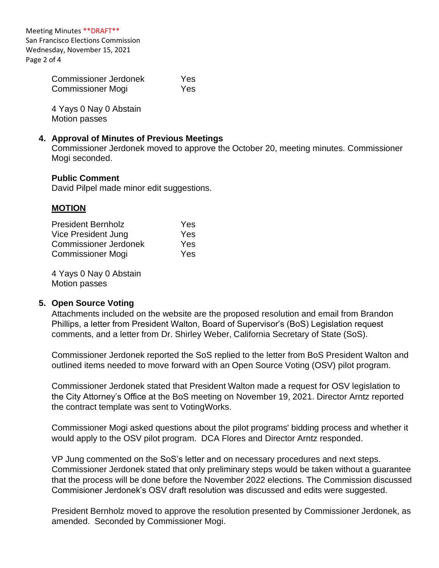Meeting Minutes \*\*DRAFT\*\* San Francisco Elections Commission Wednesday, November 15, 2021 Page 2 of 4

> Commissioner Jerdonek Yes Commissioner Mogi Yes

4 Yays 0 Nay 0 Abstain Motion passes

### **4. Approval of Minutes of Previous Meetings**

Commissioner Jerdonek moved to approve the October 20, meeting minutes. Commissioner Mogi seconded.

#### **Public Comment**

David Pilpel made minor edit suggestions.

### **MOTION**

| <b>President Bernholz</b> | Yes |
|---------------------------|-----|
| Vice President Jung       | Yes |
| Commissioner Jerdonek     | Yes |
| Commissioner Mogi         | Yes |

4 Yays 0 Nay 0 Abstain Motion passes

#### **5. Open Source Voting**

Attachments included on the website are the proposed resolution and email from Brandon Phillips, a letter from President Walton, Board of Supervisor's (BoS) Legislation request comments, and a letter from Dr. Shirley Weber, California Secretary of State (SoS).

Commissioner Jerdonek reported the SoS replied to the letter from BoS President Walton and outlined items needed to move forward with an Open Source Voting (OSV) pilot program.

Commissioner Jerdonek stated that President Walton made a request for OSV legislation to the City Attorney's Office at the BoS meeting on November 19, 2021. Director Arntz reported the contract template was sent to VotingWorks.

Commissioner Mogi asked questions about the pilot programs' bidding process and whether it would apply to the OSV pilot program. DCA Flores and Director Arntz responded.

VP Jung commented on the SoS's letter and on necessary procedures and next steps. Commissioner Jerdonek stated that only preliminary steps would be taken without a guarantee that the process will be done before the November 2022 elections. The Commission discussed Commisioner Jerdonek's OSV draft resolution was discussed and edits were suggested.

President Bernholz moved to approve the resolution presented by Commissioner Jerdonek, as amended. Seconded by Commissioner Mogi.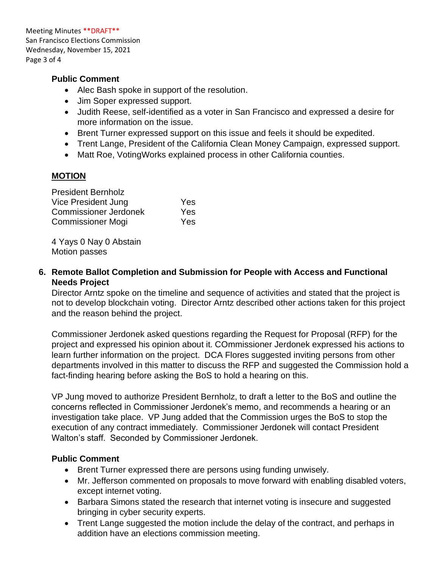Meeting Minutes \*\*DRAFT\*\* San Francisco Elections Commission Wednesday, November 15, 2021 Page 3 of 4

## **Public Comment**

- Alec Bash spoke in support of the resolution.
- Jim Soper expressed support.
- Judith Reese, self-identified as a voter in San Francisco and expressed a desire for more information on the issue.
- Brent Turner expressed support on this issue and feels it should be expedited.
- Trent Lange, President of the California Clean Money Campaign, expressed support.
- Matt Roe, Voting Works explained process in other California counties.

## **MOTION**

| <b>President Bernholz</b>    |     |
|------------------------------|-----|
| Vice President Jung          | Yes |
| <b>Commissioner Jerdonek</b> | Yes |
| Commissioner Mogi            | Yes |

4 Yays 0 Nay 0 Abstain Motion passes

**6. Remote Ballot Completion and Submission for People with Access and Functional Needs Project**

Director Arntz spoke on the timeline and sequence of activities and stated that the project is not to develop blockchain voting. Director Arntz described other actions taken for this project and the reason behind the project.

Commissioner Jerdonek asked questions regarding the Request for Proposal (RFP) for the project and expressed his opinion about it. COmmissioner Jerdonek expressed his actions to learn further information on the project. DCA Flores suggested inviting persons from other departments involved in this matter to discuss the RFP and suggested the Commission hold a fact-finding hearing before asking the BoS to hold a hearing on this.

VP Jung moved to authorize President Bernholz, to draft a letter to the BoS and outline the concerns reflected in Commissioner Jerdonek's memo, and recommends a hearing or an investigation take place. VP Jung added that the Commission urges the BoS to stop the execution of any contract immediately. Commissioner Jerdonek will contact President Walton's staff. Seconded by Commissioner Jerdonek.

# **Public Comment**

- Brent Turner expressed there are persons using funding unwisely.
- Mr. Jefferson commented on proposals to move forward with enabling disabled voters, except internet voting.
- Barbara Simons stated the research that internet voting is insecure and suggested bringing in cyber security experts.
- Trent Lange suggested the motion include the delay of the contract, and perhaps in addition have an elections commission meeting.